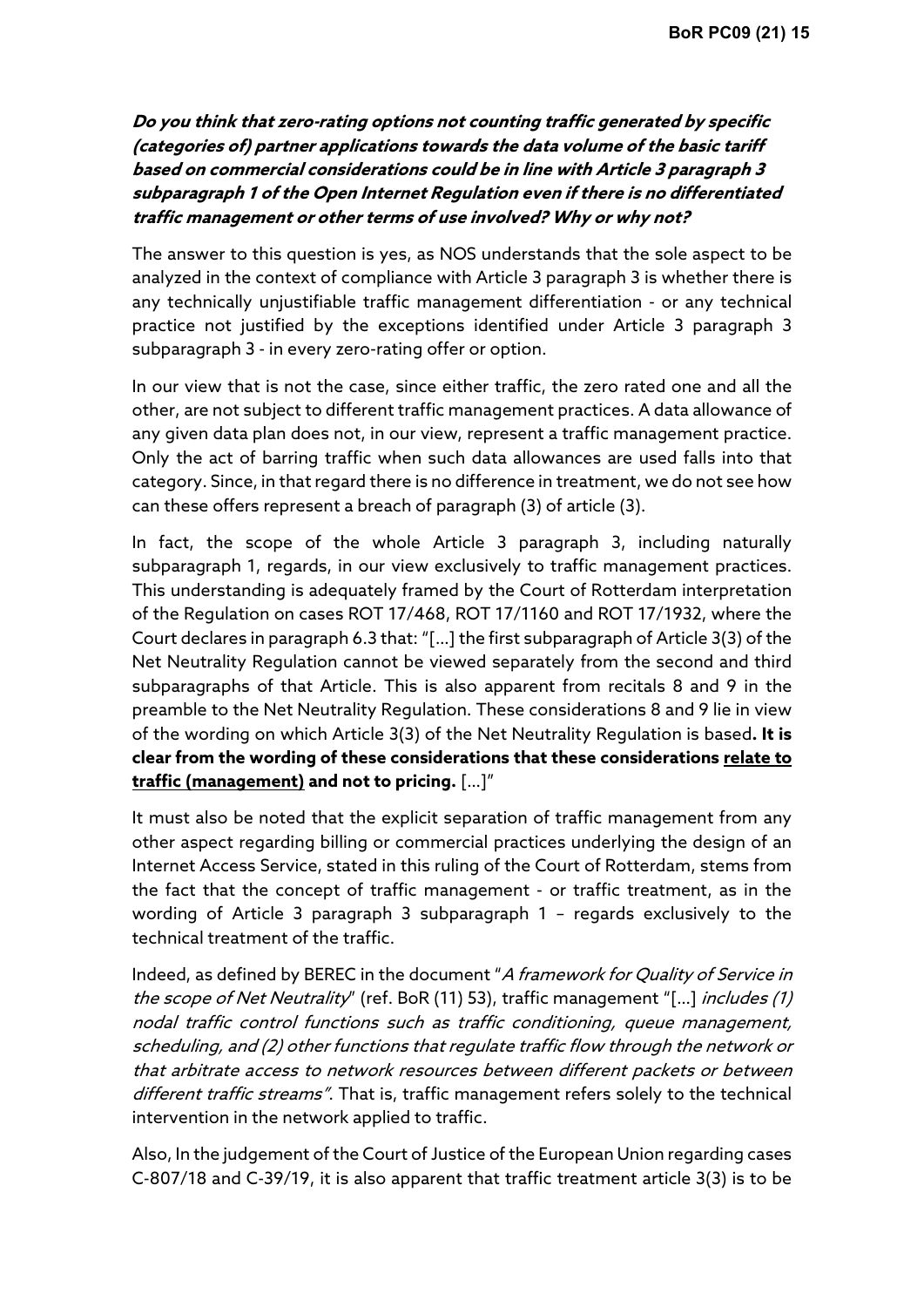Do you think that zero-rating options not counting traffic generated by specific (categories of) partner applications towards the data volume of the basic tariff based on commercial considerations could be in line with Article 3 paragraph 3 subparagraph 1 of the Open Internet Regulation even if there is no differentiated traffic management or other terms of use involved? Why or why not?

The answer to this question is yes, as NOS understands that the sole aspect to be analyzed in the context of compliance with Article 3 paragraph 3 is whether there is any technically unjustifiable traffic management differentiation - or any technical practice not justified by the exceptions identified under Article 3 paragraph 3 subparagraph 3 - in every zero-rating offer or option.

In our view that is not the case, since either traffic, the zero rated one and all the other, are not subject to different traffic management practices. A data allowance of any given data plan does not, in our view, represent a traffic management practice. Only the act of barring traffic when such data allowances are used falls into that category. Since, in that regard there is no difference in treatment, we do not see how can these offers represent a breach of paragraph (3) of article (3).

In fact, the scope of the whole Article 3 paragraph 3, including naturally subparagraph 1, regards, in our view exclusively to traffic management practices. This understanding is adequately framed by the Court of Rotterdam interpretation of the Regulation on cases ROT 17/468, ROT 17/1160 and ROT 17/1932, where the Court declares in paragraph 6.3 that: "[…] the first subparagraph of Article 3(3) of the Net Neutrality Regulation cannot be viewed separately from the second and third subparagraphs of that Article. This is also apparent from recitals 8 and 9 in the preamble to the Net Neutrality Regulation. These considerations 8 and 9 lie in view of the wording on which Article 3(3) of the Net Neutrality Regulation is based. It is clear from the wording of these considerations that these considerations relate to traffic (management) and not to pricing. […]"

It must also be noted that the explicit separation of traffic management from any other aspect regarding billing or commercial practices underlying the design of an Internet Access Service, stated in this ruling of the Court of Rotterdam, stems from the fact that the concept of traffic management - or traffic treatment, as in the wording of Article 3 paragraph 3 subparagraph 1 – regards exclusively to the technical treatment of the traffic.

Indeed, as defined by BEREC in the document "A framework for Quality of Service in the scope of Net Neutrality" (ref. BoR (11) 53), traffic management "[...] includes (1) nodal traffic control functions such as traffic conditioning, queue management, scheduling, and (2) other functions that regulate traffic flow through the network or that arbitrate access to network resources between different packets or between different traffic streams". That is, traffic management refers solely to the technical intervention in the network applied to traffic.

Also, In the judgement of the Court of Justice of the European Union regarding cases C-807/18 and C-39/19, it is also apparent that traffic treatment article 3(3) is to be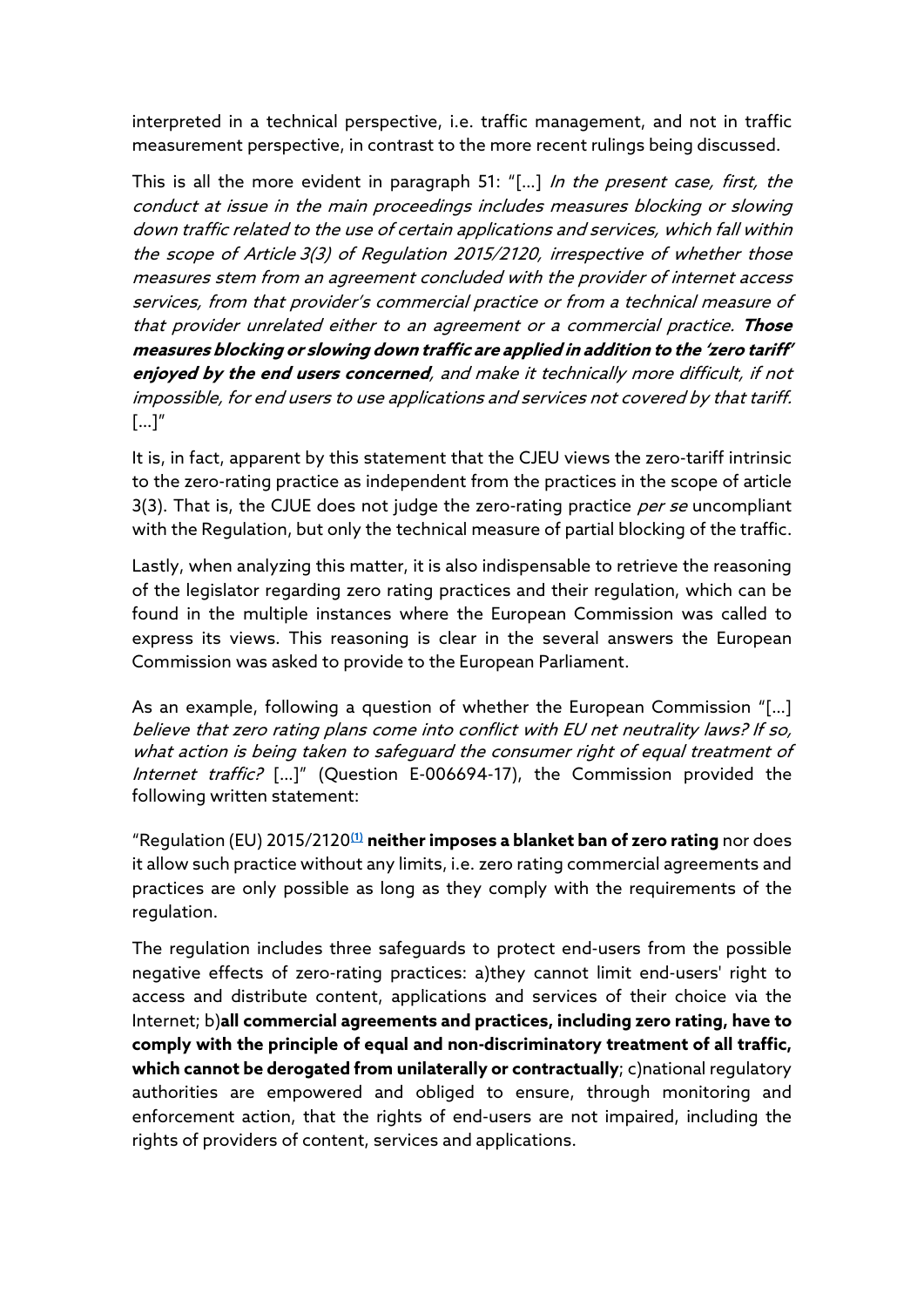interpreted in a technical perspective, i.e. traffic management, and not in traffic measurement perspective, in contrast to the more recent rulings being discussed.

This is all the more evident in paragraph 51: "[...] In the present case, first, the conduct at issue in the main proceedings includes measures blocking or slowing down traffic related to the use of certain applications and services, which fall within the scope of Article 3(3) of Regulation 2015/2120, irrespective of whether those measures stem from an agreement concluded with the provider of internet access services, from that provider's commercial practice or from a technical measure of that provider unrelated either to an agreement or a commercial practice. Those measures blocking or slowing down traffic are applied in addition to the 'zero tariff' enjoyed by the end users concerned, and make it technically more difficult, if not impossible, for end users to use applications and services not covered by that tariff.  $\left[ \ldots \right]''$ 

It is, in fact, apparent by this statement that the CJEU views the zero-tariff intrinsic to the zero-rating practice as independent from the practices in the scope of article 3(3). That is, the CJUE does not judge the zero-rating practice per se uncompliant with the Regulation, but only the technical measure of partial blocking of the traffic.

Lastly, when analyzing this matter, it is also indispensable to retrieve the reasoning of the legislator regarding zero rating practices and their regulation, which can be found in the multiple instances where the European Commission was called to express its views. This reasoning is clear in the several answers the European Commission was asked to provide to the European Parliament.

As an example, following a question of whether the European Commission "[…] believe that zero rating plans come into conflict with EU net neutrality laws? If so, what action is being taken to safeguard the consumer right of equal treatment of Internet traffic? [...]" (Question E-006694-17), the Commission provided the following written statement:

"Regulation (EU) 2015/2120 $(1)$  neither imposes a blanket ban of zero rating nor does it allow such practice without any limits, i.e. zero rating commercial agreements and practices are only possible as long as they comply with the requirements of the regulation.

The regulation includes three safeguards to protect end-users from the possible negative effects of zero-rating practices: a)they cannot limit end-users' right to access and distribute content, applications and services of their choice via the Internet; b)all commercial agreements and practices, including zero rating, have to comply with the principle of equal and non-discriminatory treatment of all traffic, which cannot be derogated from unilaterally or contractually; c)national regulatory authorities are empowered and obliged to ensure, through monitoring and enforcement action, that the rights of end-users are not impaired, including the rights of providers of content, services and applications.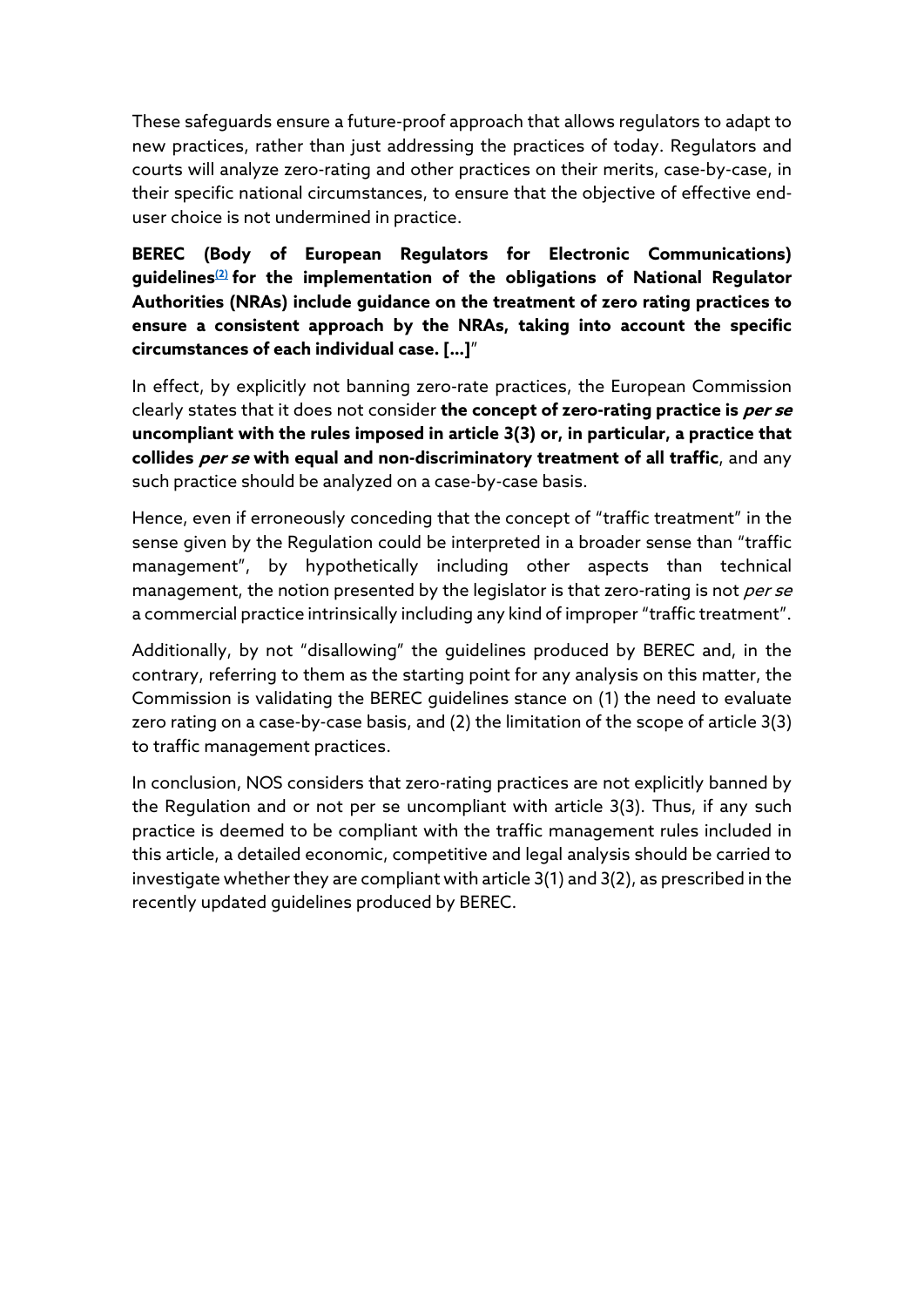These safeguards ensure a future-proof approach that allows regulators to adapt to new practices, rather than just addressing the practices of today. Regulators and courts will analyze zero-rating and other practices on their merits, case-by-case, in their specific national circumstances, to ensure that the objective of effective enduser choice is not undermined in practice.

BEREC (Body of European Regulators for Electronic Communications) guidelines $(2)$  for the implementation of the obligations of National Regulator Authorities (NRAs) include guidance on the treatment of zero rating practices to ensure a consistent approach by the NRAs, taking into account the specific circumstances of each individual case. […]"

In effect, by explicitly not banning zero-rate practices, the European Commission clearly states that it does not consider **the concept of zero-rating practice is** *per se* uncompliant with the rules imposed in article 3(3) or, in particular, a practice that collides per se with equal and non-discriminatory treatment of all traffic, and any such practice should be analyzed on a case-by-case basis.

Hence, even if erroneously conceding that the concept of "traffic treatment" in the sense given by the Regulation could be interpreted in a broader sense than "traffic management", by hypothetically including other aspects than technical management, the notion presented by the legislator is that zero-rating is not *per se* a commercial practice intrinsically including any kind of improper "traffic treatment".

Additionally, by not "disallowing" the guidelines produced by BEREC and, in the contrary, referring to them as the starting point for any analysis on this matter, the Commission is validating the BEREC guidelines stance on (1) the need to evaluate zero rating on a case-by-case basis, and (2) the limitation of the scope of article 3(3) to traffic management practices.

In conclusion, NOS considers that zero-rating practices are not explicitly banned by the Regulation and or not per se uncompliant with article 3(3). Thus, if any such practice is deemed to be compliant with the traffic management rules included in this article, a detailed economic, competitive and legal analysis should be carried to investigate whether they are compliant with article 3(1) and 3(2), as prescribed in the recently updated guidelines produced by BEREC.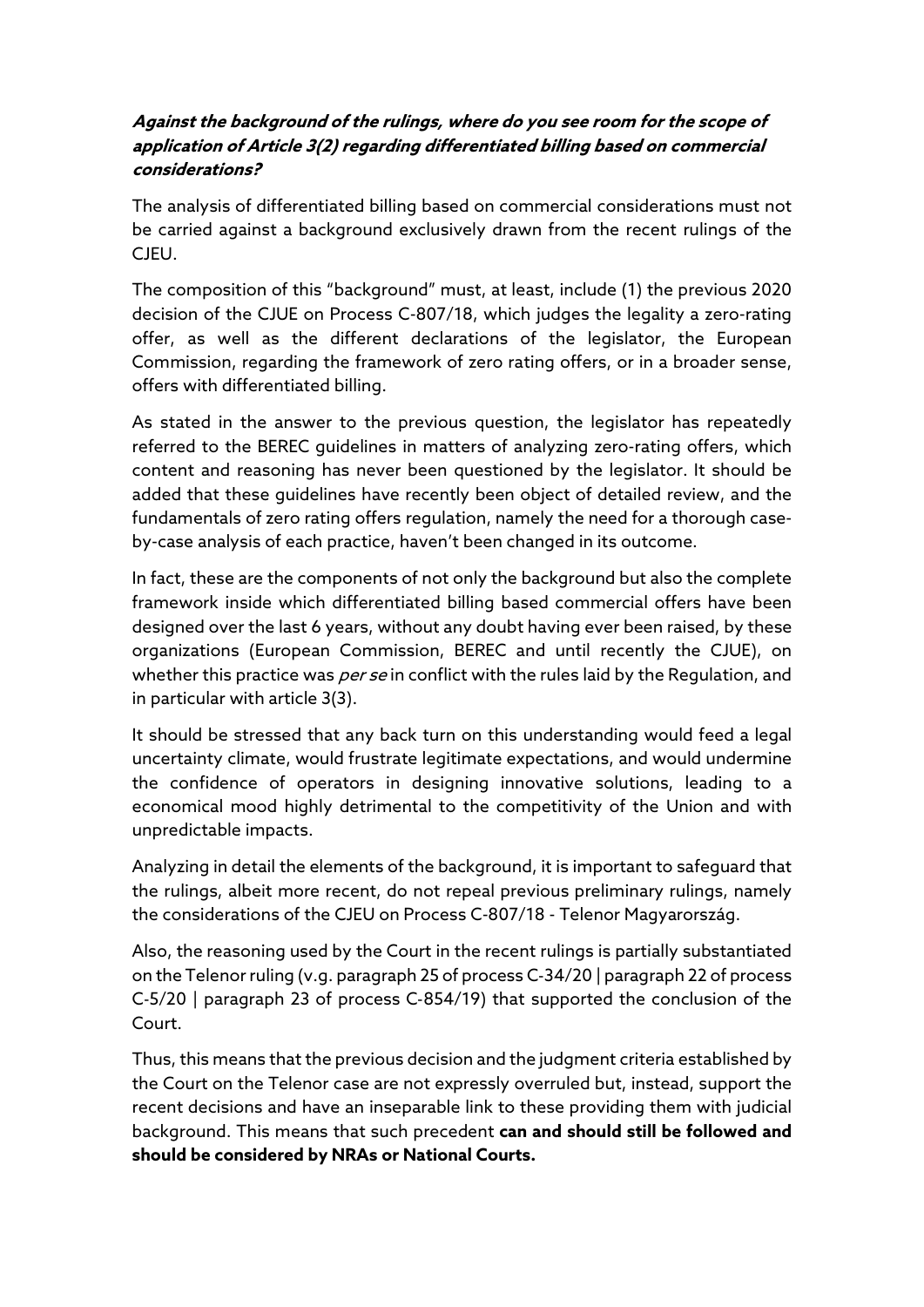## Against the background of the rulings, where do you see room for the scope of application of Article 3(2) regarding differentiated billing based on commercial considerations?

The analysis of differentiated billing based on commercial considerations must not be carried against a background exclusively drawn from the recent rulings of the CJEU.

The composition of this "background" must, at least, include (1) the previous 2020 decision of the CJUE on Process C-807/18, which judges the legality a zero-rating offer, as well as the different declarations of the legislator, the European Commission, regarding the framework of zero rating offers, or in a broader sense, offers with differentiated billing.

As stated in the answer to the previous question, the legislator has repeatedly referred to the BEREC guidelines in matters of analyzing zero-rating offers, which content and reasoning has never been questioned by the legislator. It should be added that these guidelines have recently been object of detailed review, and the fundamentals of zero rating offers regulation, namely the need for a thorough caseby-case analysis of each practice, haven't been changed in its outcome.

In fact, these are the components of not only the background but also the complete framework inside which differentiated billing based commercial offers have been designed over the last 6 years, without any doubt having ever been raised, by these organizations (European Commission, BEREC and until recently the CJUE), on whether this practice was *per se* in conflict with the rules laid by the Regulation, and in particular with article 3(3).

It should be stressed that any back turn on this understanding would feed a legal uncertainty climate, would frustrate legitimate expectations, and would undermine the confidence of operators in designing innovative solutions, leading to a economical mood highly detrimental to the competitivity of the Union and with unpredictable impacts.

Analyzing in detail the elements of the background, it is important to safeguard that the rulings, albeit more recent, do not repeal previous preliminary rulings, namely the considerations of the CJEU on Process C-807/18 - Telenor Magyarország.

Also, the reasoning used by the Court in the recent rulings is partially substantiated on the Telenor ruling (v.g. paragraph 25 of process C‑34/20 | paragraph 22 of process C‑5/20 | paragraph 23 of process C‑854/19) that supported the conclusion of the Court.

Thus, this means that the previous decision and the judgment criteria established by the Court on the Telenor case are not expressly overruled but, instead, support the recent decisions and have an inseparable link to these providing them with judicial background. This means that such precedent can and should still be followed and should be considered by NRAs or National Courts.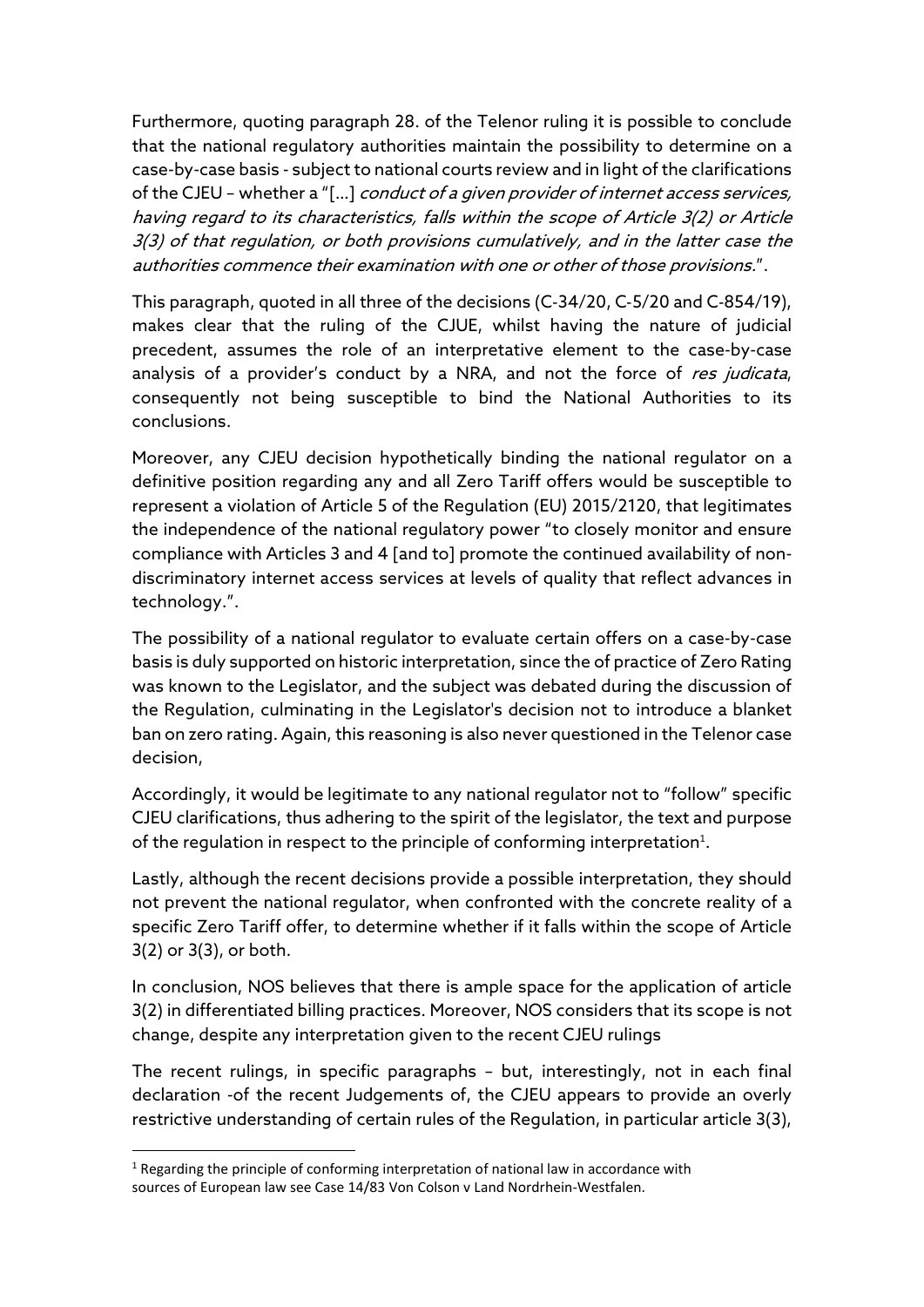Furthermore, quoting paragraph 28. of the Telenor ruling it is possible to conclude that the national regulatory authorities maintain the possibility to determine on a case-by-case basis - subject to national courts review and in light of the clarifications of the CJEU - whether a "[...] conduct of a given provider of internet access services, having regard to its characteristics, falls within the scope of Article 3(2) or Article 3(3) of that regulation, or both provisions cumulatively, and in the latter case the authorities commence their examination with one or other of those provisions.".

This paragraph, quoted in all three of the decisions (C‑34/20, C‑5/20 and C‑854/19), makes clear that the ruling of the CJUE, whilst having the nature of judicial precedent, assumes the role of an interpretative element to the case-by-case analysis of a provider's conduct by a NRA, and not the force of res judicata, consequently not being susceptible to bind the National Authorities to its conclusions.

Moreover, any CJEU decision hypothetically binding the national regulator on a definitive position regarding any and all Zero Tariff offers would be susceptible to represent a violation of Article 5 of the Regulation (EU) 2015/2120, that legitimates the independence of the national regulatory power "to closely monitor and ensure compliance with Articles 3 and 4 [and to] promote the continued availability of nondiscriminatory internet access services at levels of quality that reflect advances in technology.".

The possibility of a national regulator to evaluate certain offers on a case-by-case basis is duly supported on historic interpretation, since the of practice of Zero Rating was known to the Legislator, and the subject was debated during the discussion of the Regulation, culminating in the Legislator's decision not to introduce a blanket ban on zero rating. Again, this reasoning is also never questioned in the Telenor case decision,

Accordingly, it would be legitimate to any national regulator not to "follow" specific CJEU clarifications, thus adhering to the spirit of the legislator, the text and purpose of the regulation in respect to the principle of conforming interpretation<sup>1</sup>.

Lastly, although the recent decisions provide a possible interpretation, they should not prevent the national regulator, when confronted with the concrete reality of a specific Zero Tariff offer, to determine whether if it falls within the scope of Article 3(2) or 3(3), or both.

In conclusion, NOS believes that there is ample space for the application of article 3(2) in differentiated billing practices. Moreover, NOS considers that its scope is not change, despite any interpretation given to the recent CJEU rulings

The recent rulings, in specific paragraphs – but, interestingly, not in each final declaration -of the recent Judgements of, the CJEU appears to provide an overly restrictive understanding of certain rules of the Regulation, in particular article 3(3),

 $<sup>1</sup>$  Regarding the principle of conforming interpretation of national law in accordance with</sup> sources of European law see Case 14/83 Von Colson v Land Nordrhein-Westfalen.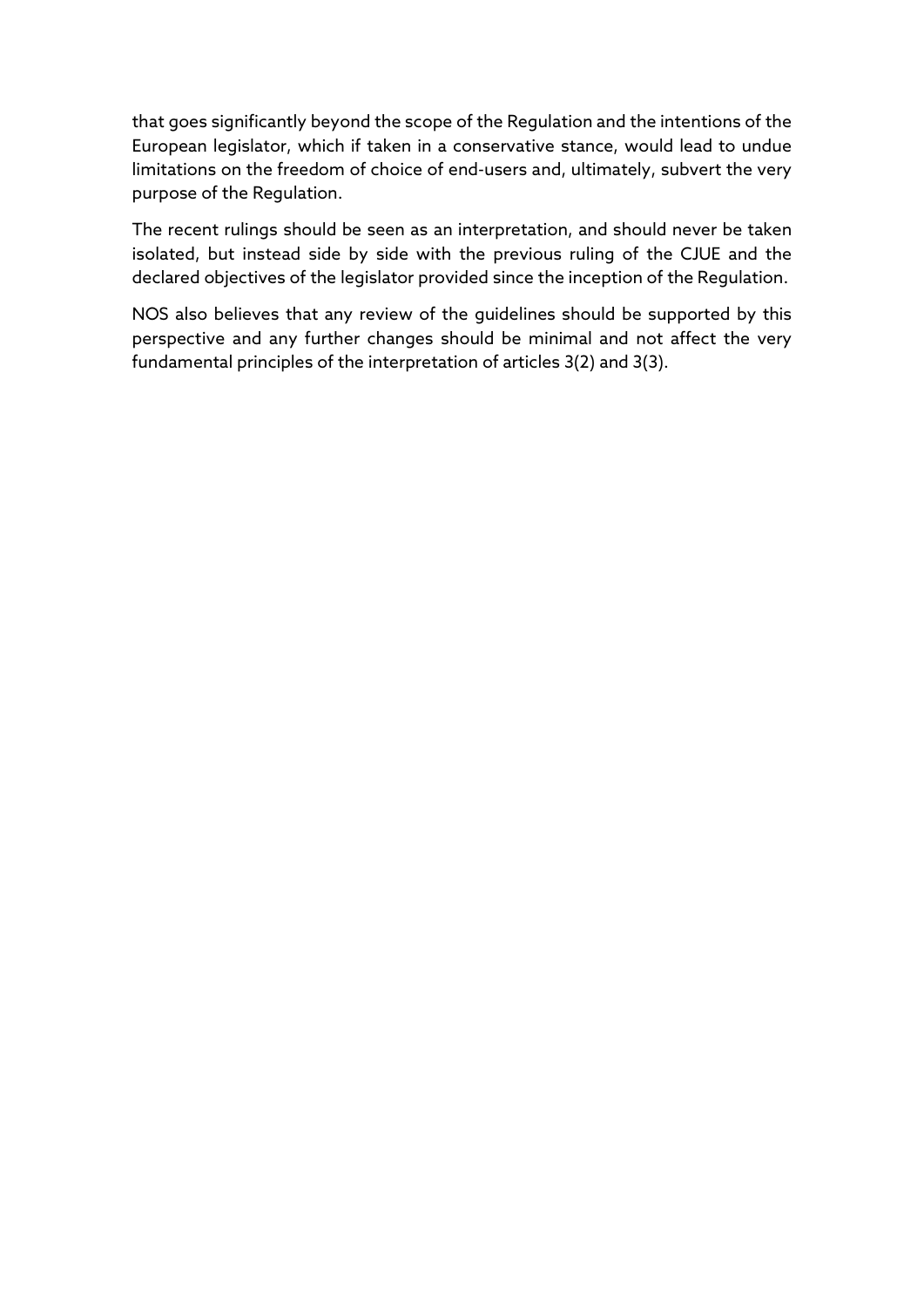that goes significantly beyond the scope of the Regulation and the intentions of the European legislator, which if taken in a conservative stance, would lead to undue limitations on the freedom of choice of end-users and, ultimately, subvert the very purpose of the Regulation.

The recent rulings should be seen as an interpretation, and should never be taken isolated, but instead side by side with the previous ruling of the CJUE and the declared objectives of the legislator provided since the inception of the Regulation.

NOS also believes that any review of the guidelines should be supported by this perspective and any further changes should be minimal and not affect the very fundamental principles of the interpretation of articles 3(2) and 3(3).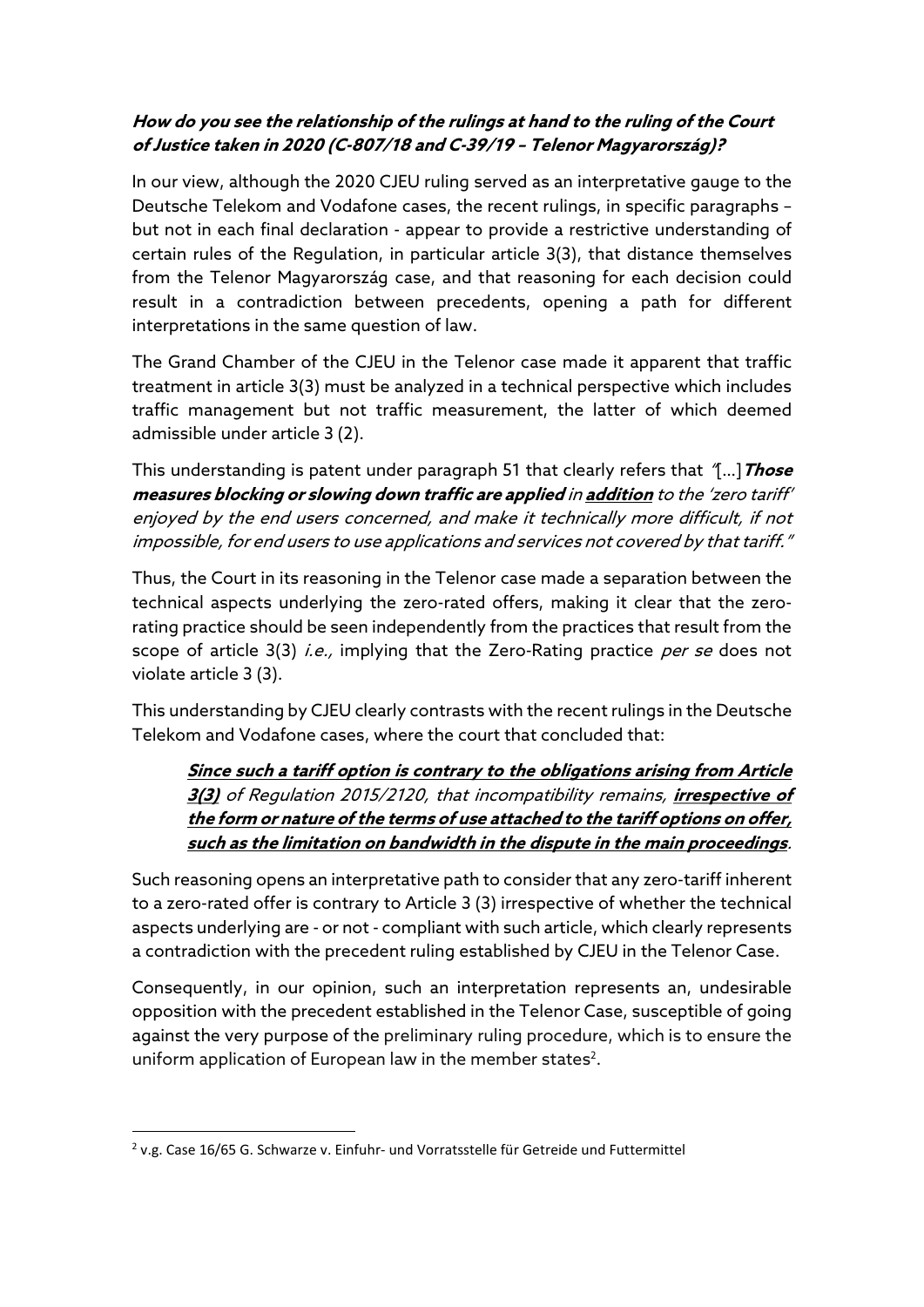## How do you see the relationship of the rulings at hand to the ruling of the Court of Justice taken in 2020 (C-807/18 and C-39/19 – Telenor Magyarország)?

In our view, although the 2020 CJEU ruling served as an interpretative gauge to the Deutsche Telekom and Vodafone cases, the recent rulings, in specific paragraphs – but not in each final declaration - appear to provide a restrictive understanding of certain rules of the Regulation, in particular article 3(3), that distance themselves from the Telenor Magyarország case, and that reasoning for each decision could result in a contradiction between precedents, opening a path for different interpretations in the same question of law.

The Grand Chamber of the CJEU in the Telenor case made it apparent that traffic treatment in article 3(3) must be analyzed in a technical perspective which includes traffic management but not traffic measurement, the latter of which deemed admissible under article 3 (2).

This understanding is patent under paragraph 51 that clearly refers that  $\gamma$ ...] Those measures blocking or slowing down traffic are applied in addition to the 'zero tariff' enjoyed by the end users concerned, and make it technically more difficult, if not impossible, for end users to use applications and services not covered by that tariff."

Thus, the Court in its reasoning in the Telenor case made a separation between the technical aspects underlying the zero-rated offers, making it clear that the zerorating practice should be seen independently from the practices that result from the scope of article 3(3) *i.e.*, implying that the Zero-Rating practice *per se* does not violate article 3 (3).

This understanding by CJEU clearly contrasts with the recent rulings in the Deutsche Telekom and Vodafone cases, where the court that concluded that:

Since such a tariff option is contrary to the obligations arising from Article 3(3) of Regulation 2015/2120, that incompatibility remains, irrespective of the form or nature of the terms of use attached to the tariff options on offer, such as the limitation on bandwidth in the dispute in the main proceedings.

Such reasoning opens an interpretative path to consider that any zero-tariff inherent to a zero-rated offer is contrary to Article 3 (3) irrespective of whether the technical aspects underlying are - or not - compliant with such article, which clearly represents a contradiction with the precedent ruling established by CJEU in the Telenor Case.

Consequently, in our opinion, such an interpretation represents an, undesirable opposition with the precedent established in the Telenor Case, susceptible of going against the very purpose of the preliminary ruling procedure, which is to ensure the uniform application of European law in the member states<sup>2</sup>.

 $2$  v.g. Case 16/65 G. Schwarze v. Einfuhr- und Vorratsstelle für Getreide und Futtermittel